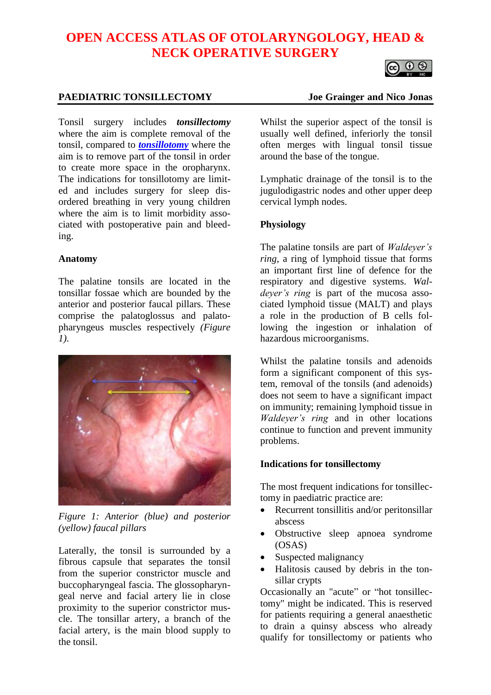# **OPEN ACCESS ATLAS OF OTOLARYNGOLOGY, HEAD & NECK OPERATIVE SURGERY**

# O O

# **PAEDIATRIC TONSILLECTOMY Joe Grainger and Nico Jonas**

Tonsil surgery includes *tonsillectomy* where the aim is complete removal of the tonsil, compared to *[tonsillotomy](https://vula.uct.ac.za/access/content/group/ba5fb1bd-be95-48e5-81be-586fbaeba29d/Tonsillotomy%20_partial_%20and%20complete%20tonsillectomy%20surgical%20technique.pdf)* where the aim is to remove part of the tonsil in order to create more space in the oropharynx. The indications for tonsillotomy are limited and includes surgery for sleep disordered breathing in very young children where the aim is to limit morbidity associated with postoperative pain and bleeding.

#### **Anatomy**

The palatine tonsils are located in the tonsillar fossae which are bounded by the anterior and posterior faucal pillars. These comprise the palatoglossus and palatopharyngeus muscles respectively *(Figure 1)*.



*Figure 1: Anterior (blue) and posterior (yellow) faucal pillars*

Laterally, the tonsil is surrounded by a fibrous capsule that separates the tonsil from the superior constrictor muscle and buccopharyngeal fascia. The glossopharyngeal nerve and facial artery lie in close proximity to the superior constrictor muscle. The tonsillar artery, a branch of the facial artery, is the main blood supply to the tonsil.

Whilst the superior aspect of the tonsil is usually well defined, inferiorly the tonsil often merges with lingual tonsil tissue around the base of the tongue.

Lymphatic drainage of the tonsil is to the jugulodigastric nodes and other upper deep cervical lymph nodes.

# **Physiology**

The palatine tonsils are part of *Waldeyer's ring*, a ring of lymphoid tissue that forms an important first line of defence for the respiratory and digestive systems. *Waldeyer's ring* is part of the mucosa associated lymphoid tissue (MALT) and plays a role in the production of B cells following the ingestion or inhalation of hazardous microorganisms.

Whilst the palatine tonsils and adenoids form a significant component of this system, removal of the tonsils (and adenoids) does not seem to have a significant impact on immunity; remaining lymphoid tissue in *Waldeyer's ring* and in other locations continue to function and prevent immunity problems.

# **Indications for tonsillectomy**

The most frequent indications for tonsillectomy in paediatric practice are:

- Recurrent tonsillitis and/or peritonsillar abscess
- Obstructive sleep apnoea syndrome (OSAS)
- Suspected malignancy
- Halitosis caused by debris in the tonsillar crypts

Occasionally an "acute" or "hot tonsillectomy" might be indicated. This is reserved for patients requiring a general anaesthetic to drain a quinsy abscess who already qualify for tonsillectomy or patients who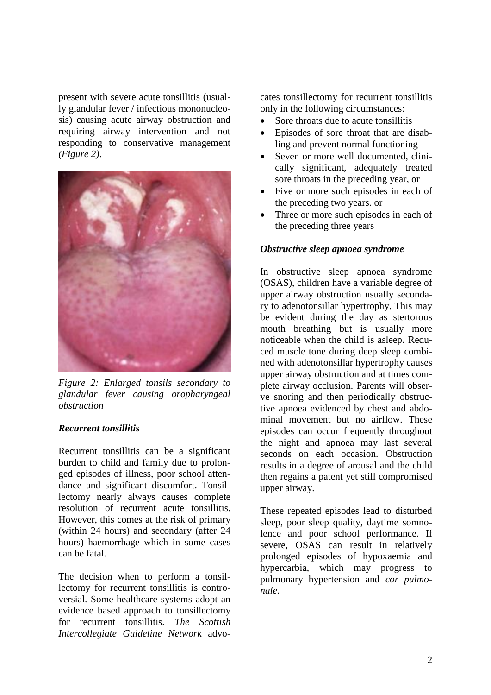present with severe acute tonsillitis (usually glandular fever / infectious mononucleosis) causing acute airway obstruction and requiring airway intervention and not responding to conservative management *(Figure 2)*.



*Figure 2: Enlarged tonsils secondary to glandular fever causing oropharyngeal obstruction*

# *Recurrent tonsillitis*

Recurrent tonsillitis can be a significant burden to child and family due to prolonged episodes of illness, poor school attendance and significant discomfort. Tonsillectomy nearly always causes complete resolution of recurrent acute tonsillitis. However, this comes at the risk of primary (within 24 hours) and secondary (after 24 hours) haemorrhage which in some cases can be fatal.

The decision when to perform a tonsillectomy for recurrent tonsillitis is controversial. Some healthcare systems adopt an evidence based approach to tonsillectomy for recurrent tonsillitis. *The Scottish Intercollegiate Guideline Network* advocates tonsillectomy for recurrent tonsillitis only in the following circumstances:

- Sore throats due to acute tonsillitis
- Episodes of sore throat that are disabling and prevent normal functioning
- Seven or more well documented, clinically significant, adequately treated sore throats in the preceding year, or
- Five or more such episodes in each of the preceding two years. or
- Three or more such episodes in each of the preceding three years

#### *Obstructive sleep apnoea syndrome*

In obstructive sleep apnoea syndrome (OSAS), children have a variable degree of upper airway obstruction usually secondary to adenotonsillar hypertrophy. This may be evident during the day as stertorous mouth breathing but is usually more noticeable when the child is asleep. Reduced muscle tone during deep sleep combined with adenotonsillar hypertrophy causes upper airway obstruction and at times complete airway occlusion. Parents will observe snoring and then periodically obstructive apnoea evidenced by chest and abdominal movement but no airflow. These episodes can occur frequently throughout the night and apnoea may last several seconds on each occasion. Obstruction results in a degree of arousal and the child then regains a patent yet still compromised upper airway.

These repeated episodes lead to disturbed sleep, poor sleep quality, daytime somnolence and poor school performance. If severe, OSAS can result in relatively prolonged episodes of hypoxaemia and hypercarbia, which may progress to pulmonary hypertension and *cor pulmonale*.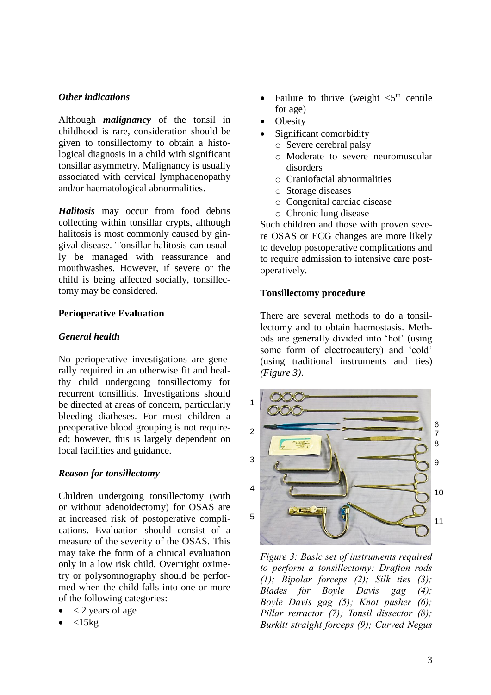## *Other indications*

Although *malignancy* of the tonsil in childhood is rare, consideration should be given to tonsillectomy to obtain a histological diagnosis in a child with significant tonsillar asymmetry. Malignancy is usually associated with cervical lymphadenopathy and/or haematological abnormalities.

*Halitosis* may occur from food debris collecting within tonsillar crypts, although halitosis is most commonly caused by gingival disease. Tonsillar halitosis can usually be managed with reassurance and mouthwashes. However, if severe or the child is being affected socially, tonsillectomy may be considered.

### **Perioperative Evaluation**

#### *General health*

No perioperative investigations are generally required in an otherwise fit and healthy child undergoing tonsillectomy for recurrent tonsillitis. Investigations should be directed at areas of concern, particularly bleeding diatheses. For most children a preoperative blood grouping is not requireed; however, this is largely dependent on local facilities and guidance.

#### *Reason for tonsillectomy*

Children undergoing tonsillectomy (with or without adenoidectomy) for OSAS are at increased risk of postoperative complications. Evaluation should consist of a measure of the severity of the OSAS. This may take the form of a clinical evaluation only in a low risk child. Overnight oximetry or polysomnography should be performed when the child falls into one or more of the following categories:

- $<$  2 years of age
- $<$ 15 $kg$
- Failure to thrive (weight  $\lt 5^{th}$  centile for age)
- **Obesity**
- Significant comorbidity
	- o Severe cerebral palsy
	- o Moderate to severe neuromuscular disorders
	- o Craniofacial abnormalities
	- o Storage diseases
	- o Congenital cardiac disease
	- o Chronic lung disease

Such children and those with proven severe OSAS or ECG changes are more likely to develop postoperative complications and to require admission to intensive care postoperatively.

### **Tonsillectomy procedure**

There are several methods to do a tonsillectomy and to obtain haemostasis. Methods are generally divided into 'hot' (using some form of electrocautery) and 'cold' (using traditional instruments and ties) *(Figure 3)*.



*Figure 3: Basic set of instruments required to perform a tonsillectomy: Drafton rods (1); Bipolar forceps (2); Silk ties (3); Blades for Boyle Davis gag (4); Boyle Davis gag (5); Knot pusher (6); Pillar retractor (7); Tonsil dissector (8); Burkitt straight forceps (9); Curved Negus*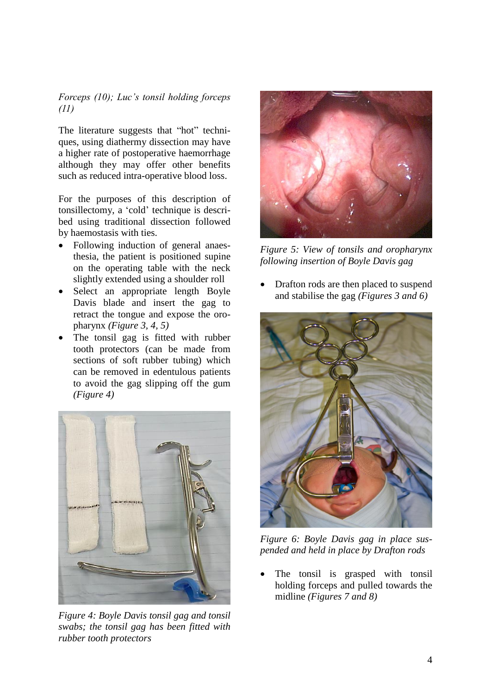# *Forceps (10); Luc's tonsil holding forceps (11)*

The literature suggests that "hot" techniques, using diathermy dissection may have a higher rate of postoperative haemorrhage although they may offer other benefits such as reduced intra-operative blood loss.

For the purposes of this description of tonsillectomy, a 'cold' technique is described using traditional dissection followed by haemostasis with ties.

- Following induction of general anaesthesia, the patient is positioned supine on the operating table with the neck slightly extended using a shoulder roll
- Select an appropriate length Boyle Davis blade and insert the gag to retract the tongue and expose the oropharynx *(Figure 3, 4, 5)*
- The tonsil gag is fitted with rubber tooth protectors (can be made from sections of soft rubber tubing) which can be removed in edentulous patients to avoid the gag slipping off the gum *(Figure 4)*



*Figure 4: Boyle Davis tonsil gag and tonsil swabs; the tonsil gag has been fitted with rubber tooth protectors*



*Figure 5: View of tonsils and oropharynx following insertion of Boyle Davis gag*

• Drafton rods are then placed to suspend and stabilise the gag *(Figures 3 and 6)*



*Figure 6: Boyle Davis gag in place suspended and held in place by Drafton rods*

The tonsil is grasped with tonsil holding forceps and pulled towards the midline *(Figures 7 and 8)*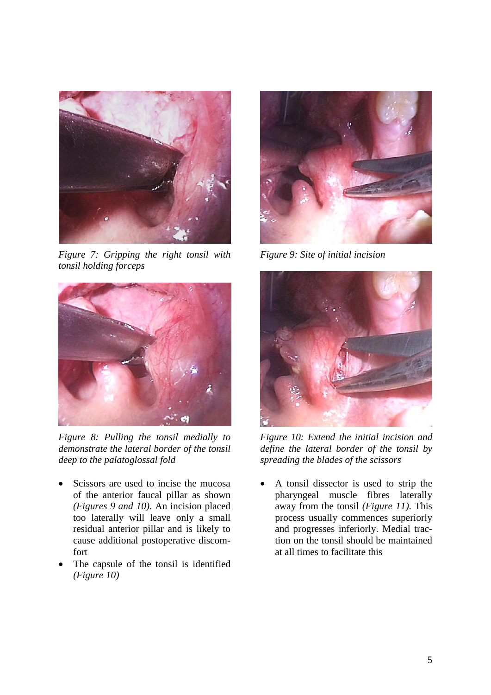

*Figure 7: Gripping the right tonsil with tonsil holding forceps*



*Figure 8: Pulling the tonsil medially to demonstrate the lateral border of the tonsil deep to the palatoglossal fold*

- Scissors are used to incise the mucosa of the anterior faucal pillar as shown *(Figures 9 and 10)*. An incision placed too laterally will leave only a small residual anterior pillar and is likely to cause additional postoperative discomfort
- The capsule of the tonsil is identified *(Figure 10)*



*Figure 9: Site of initial incision*



*Figure 10: Extend the initial incision and define the lateral border of the tonsil by spreading the blades of the scissors*

• A tonsil dissector is used to strip the pharyngeal muscle fibres laterally away from the tonsil *(Figure 11)*. This process usually commences superiorly and progresses inferiorly. Medial traction on the tonsil should be maintained at all times to facilitate this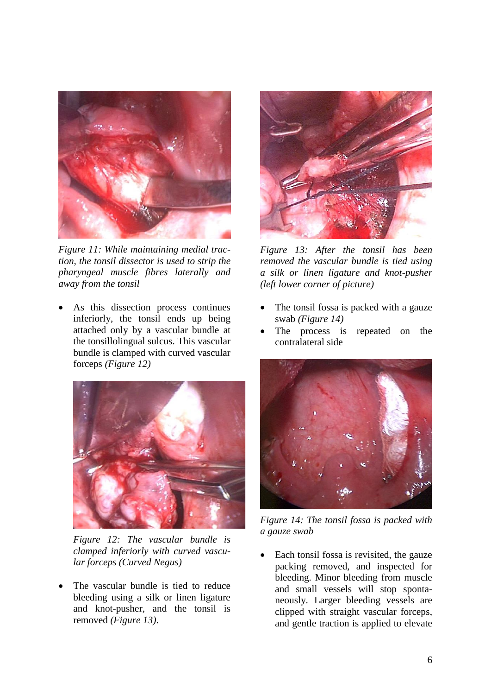

*Figure 11: While maintaining medial traction, the tonsil dissector is used to strip the pharyngeal muscle fibres laterally and away from the tonsil*

As this dissection process continues inferiorly, the tonsil ends up being attached only by a vascular bundle at the tonsillolingual sulcus. This vascular bundle is clamped with curved vascular forceps *(Figure 12)*



*Figure 12: The vascular bundle is clamped inferiorly with curved vascular forceps (Curved Negus)*

The vascular bundle is tied to reduce bleeding using a silk or linen ligature and knot-pusher, and the tonsil is removed *(Figure 13)*.



*Figure 13: After the tonsil has been removed the vascular bundle is tied using a silk or linen ligature and knot-pusher (left lower corner of picture)*

- The tonsil fossa is packed with a gauze swab *(Figure 14)*
- The process is repeated on the contralateral side



*Figure 14: The tonsil fossa is packed with a gauze swab*

Each tonsil fossa is revisited, the gauze packing removed, and inspected for bleeding. Minor bleeding from muscle and small vessels will stop spontaneously. Larger bleeding vessels are clipped with straight vascular forceps, and gentle traction is applied to elevate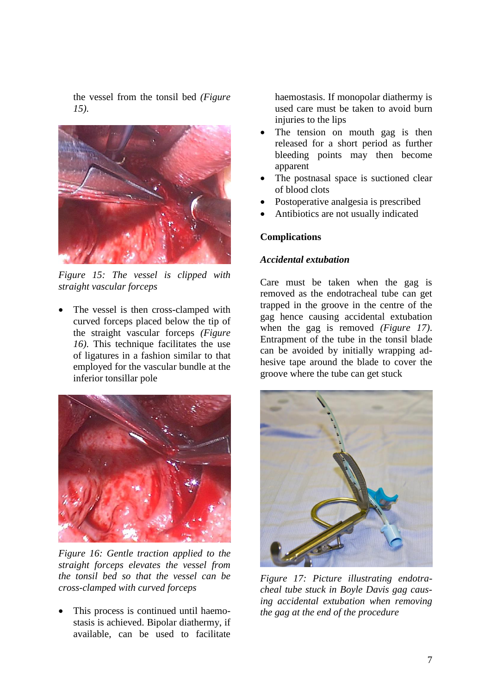the vessel from the tonsil bed *(Figure 15)*.



*Figure 15: The vessel is clipped with straight vascular forceps*

The vessel is then cross-clamped with curved forceps placed below the tip of the straight vascular forceps *(Figure 16)*. This technique facilitates the use of ligatures in a fashion similar to that employed for the vascular bundle at the inferior tonsillar pole



*Figure 16: Gentle traction applied to the straight forceps elevates the vessel from the tonsil bed so that the vessel can be cross-clamped with curved forceps* 

This process is continued until haemostasis is achieved. Bipolar diathermy, if available, can be used to facilitate

haemostasis. If monopolar diathermy is used care must be taken to avoid burn injuries to the lips

- The tension on mouth gag is then released for a short period as further bleeding points may then become apparent
- The postnasal space is suctioned clear of blood clots
- Postoperative analgesia is prescribed
- Antibiotics are not usually indicated

### **Complications**

#### *Accidental extubation*

Care must be taken when the gag is removed as the endotracheal tube can get trapped in the groove in the centre of the gag hence causing accidental extubation when the gag is removed *(Figure 17)*. Entrapment of the tube in the tonsil blade can be avoided by initially wrapping adhesive tape around the blade to cover the groove where the tube can get stuck



*Figure 17: Picture illustrating endotracheal tube stuck in Boyle Davis gag causing accidental extubation when removing the gag at the end of the procedure*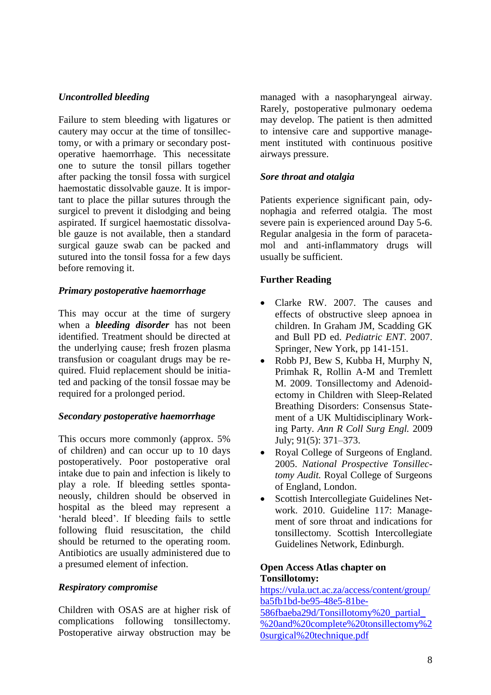# *Uncontrolled bleeding*

Failure to stem bleeding with ligatures or cautery may occur at the time of tonsillectomy, or with a primary or secondary postoperative haemorrhage. This necessitate one to suture the tonsil pillars together after packing the tonsil fossa with surgicel haemostatic dissolvable gauze. It is important to place the pillar sutures through the surgicel to prevent it dislodging and being aspirated. If surgicel haemostatic dissolvable gauze is not available, then a standard surgical gauze swab can be packed and sutured into the tonsil fossa for a few days before removing it.

# *Primary postoperative haemorrhage*

This may occur at the time of surgery when a *bleeding disorder* has not been identified. Treatment should be directed at the underlying cause; fresh frozen plasma transfusion or coagulant drugs may be required. Fluid replacement should be initiated and packing of the tonsil fossae may be required for a prolonged period.

# *Secondary postoperative haemorrhage*

This occurs more commonly (approx. 5% of children) and can occur up to 10 days postoperatively. Poor postoperative oral intake due to pain and infection is likely to play a role. If bleeding settles spontaneously, children should be observed in hospital as the bleed may represent a 'herald bleed'. If bleeding fails to settle following fluid resuscitation, the child should be returned to the operating room. Antibiotics are usually administered due to a presumed element of infection.

# *Respiratory compromise*

Children with OSAS are at higher risk of complications following tonsillectomy. Postoperative airway obstruction may be managed with a nasopharyngeal airway. Rarely, postoperative pulmonary oedema may develop. The patient is then admitted to intensive care and supportive management instituted with continuous positive airways pressure.

# *Sore throat and otalgia*

Patients experience significant pain, odynophagia and referred otalgia. The most severe pain is experienced around Day 5-6. Regular analgesia in the form of paracetamol and anti-inflammatory drugs will usually be sufficient.

# **Further Reading**

- Clarke RW. 2007. The causes and effects of obstructive sleep apnoea in children. In Graham JM, Scadding GK and Bull PD ed. *Pediatric ENT*. 2007. Springer, New York, pp 141-151.
- Robb PJ, Bew S, Kubba H, Murphy N, Primhak R, Rollin A-M and Tremlett M. 2009. Tonsillectomy and Adenoidectomy in Children with Sleep-Related Breathing Disorders: Consensus Statement of a UK Multidisciplinary Working Party. *Ann R Coll Surg Engl.* 2009 July; 91(5): 371–373.
- Royal College of Surgeons of England. 2005. *National Prospective Tonsillectomy Audit.* Royal College of Surgeons of England, London.
- Scottish Intercollegiate Guidelines Network. 2010. Guideline 117: Management of sore throat and indications for tonsillectomy. Scottish Intercollegiate Guidelines Network, Edinburgh.

### **Open Access Atlas chapter on Tonsillotomy:**

[https://vula.uct.ac.za/access/content/group/](https://vula.uct.ac.za/access/content/group/ba5fb1bd-be95-48e5-81be-586fbaeba29d/Tonsillotomy%20_partial_%20and%20complete%20tonsillectomy%20surgical%20technique.pdf) [ba5fb1bd-be95-48e5-81be-](https://vula.uct.ac.za/access/content/group/ba5fb1bd-be95-48e5-81be-586fbaeba29d/Tonsillotomy%20_partial_%20and%20complete%20tonsillectomy%20surgical%20technique.pdf)

[586fbaeba29d/Tonsillotomy%20\\_partial\\_](https://vula.uct.ac.za/access/content/group/ba5fb1bd-be95-48e5-81be-586fbaeba29d/Tonsillotomy%20_partial_%20and%20complete%20tonsillectomy%20surgical%20technique.pdf) [%20and%20complete%20tonsillectomy%2](https://vula.uct.ac.za/access/content/group/ba5fb1bd-be95-48e5-81be-586fbaeba29d/Tonsillotomy%20_partial_%20and%20complete%20tonsillectomy%20surgical%20technique.pdf) [0surgical%20technique.pdf](https://vula.uct.ac.za/access/content/group/ba5fb1bd-be95-48e5-81be-586fbaeba29d/Tonsillotomy%20_partial_%20and%20complete%20tonsillectomy%20surgical%20technique.pdf)